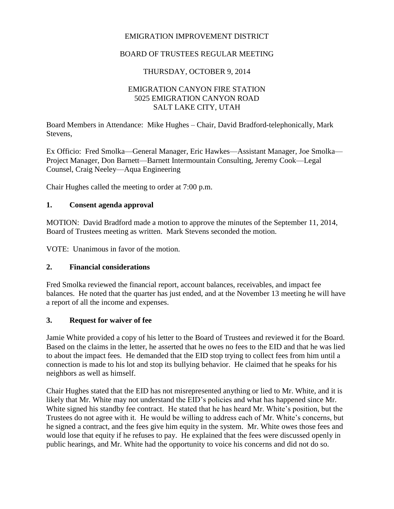## EMIGRATION IMPROVEMENT DISTRICT

## BOARD OF TRUSTEES REGULAR MEETING

### THURSDAY, OCTOBER 9, 2014

## EMIGRATION CANYON FIRE STATION 5025 EMIGRATION CANYON ROAD SALT LAKE CITY, UTAH

Board Members in Attendance: Mike Hughes – Chair, David Bradford-telephonically, Mark Stevens,

Ex Officio: Fred Smolka—General Manager, Eric Hawkes—Assistant Manager, Joe Smolka— Project Manager, Don Barnett—Barnett Intermountain Consulting, Jeremy Cook—Legal Counsel, Craig Neeley—Aqua Engineering

Chair Hughes called the meeting to order at 7:00 p.m.

### **1. Consent agenda approval**

MOTION: David Bradford made a motion to approve the minutes of the September 11, 2014, Board of Trustees meeting as written. Mark Stevens seconded the motion.

VOTE: Unanimous in favor of the motion.

### **2. Financial considerations**

Fred Smolka reviewed the financial report, account balances, receivables, and impact fee balances. He noted that the quarter has just ended, and at the November 13 meeting he will have a report of all the income and expenses.

### **3. Request for waiver of fee**

Jamie White provided a copy of his letter to the Board of Trustees and reviewed it for the Board. Based on the claims in the letter, he asserted that he owes no fees to the EID and that he was lied to about the impact fees. He demanded that the EID stop trying to collect fees from him until a connection is made to his lot and stop its bullying behavior. He claimed that he speaks for his neighbors as well as himself.

Chair Hughes stated that the EID has not misrepresented anything or lied to Mr. White, and it is likely that Mr. White may not understand the EID's policies and what has happened since Mr. White signed his standby fee contract. He stated that he has heard Mr. White's position, but the Trustees do not agree with it. He would be willing to address each of Mr. White's concerns, but he signed a contract, and the fees give him equity in the system. Mr. White owes those fees and would lose that equity if he refuses to pay. He explained that the fees were discussed openly in public hearings, and Mr. White had the opportunity to voice his concerns and did not do so.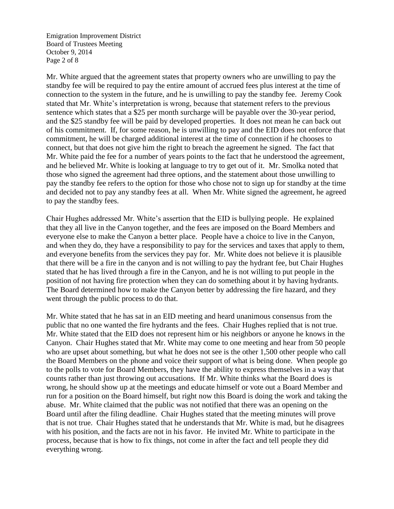Emigration Improvement District Board of Trustees Meeting October 9, 2014 Page 2 of 8

Mr. White argued that the agreement states that property owners who are unwilling to pay the standby fee will be required to pay the entire amount of accrued fees plus interest at the time of connection to the system in the future, and he is unwilling to pay the standby fee. Jeremy Cook stated that Mr. White's interpretation is wrong, because that statement refers to the previous sentence which states that a \$25 per month surcharge will be payable over the 30-year period, and the \$25 standby fee will be paid by developed properties. It does not mean he can back out of his commitment. If, for some reason, he is unwilling to pay and the EID does not enforce that commitment, he will be charged additional interest at the time of connection if he chooses to connect, but that does not give him the right to breach the agreement he signed. The fact that Mr. White paid the fee for a number of years points to the fact that he understood the agreement, and he believed Mr. White is looking at language to try to get out of it. Mr. Smolka noted that those who signed the agreement had three options, and the statement about those unwilling to pay the standby fee refers to the option for those who chose not to sign up for standby at the time and decided not to pay any standby fees at all. When Mr. White signed the agreement, he agreed to pay the standby fees.

Chair Hughes addressed Mr. White's assertion that the EID is bullying people. He explained that they all live in the Canyon together, and the fees are imposed on the Board Members and everyone else to make the Canyon a better place. People have a choice to live in the Canyon, and when they do, they have a responsibility to pay for the services and taxes that apply to them, and everyone benefits from the services they pay for. Mr. White does not believe it is plausible that there will be a fire in the canyon and is not willing to pay the hydrant fee, but Chair Hughes stated that he has lived through a fire in the Canyon, and he is not willing to put people in the position of not having fire protection when they can do something about it by having hydrants. The Board determined how to make the Canyon better by addressing the fire hazard, and they went through the public process to do that.

Mr. White stated that he has sat in an EID meeting and heard unanimous consensus from the public that no one wanted the fire hydrants and the fees. Chair Hughes replied that is not true. Mr. White stated that the EID does not represent him or his neighbors or anyone he knows in the Canyon. Chair Hughes stated that Mr. White may come to one meeting and hear from 50 people who are upset about something, but what he does not see is the other 1,500 other people who call the Board Members on the phone and voice their support of what is being done. When people go to the polls to vote for Board Members, they have the ability to express themselves in a way that counts rather than just throwing out accusations. If Mr. White thinks what the Board does is wrong, he should show up at the meetings and educate himself or vote out a Board Member and run for a position on the Board himself, but right now this Board is doing the work and taking the abuse. Mr. White claimed that the public was not notified that there was an opening on the Board until after the filing deadline. Chair Hughes stated that the meeting minutes will prove that is not true. Chair Hughes stated that he understands that Mr. White is mad, but he disagrees with his position, and the facts are not in his favor. He invited Mr. White to participate in the process, because that is how to fix things, not come in after the fact and tell people they did everything wrong.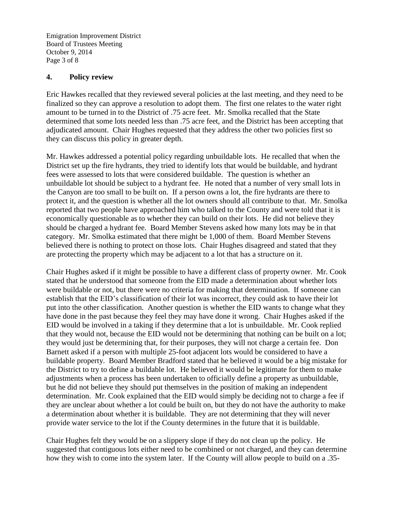Emigration Improvement District Board of Trustees Meeting October 9, 2014 Page 3 of 8

#### **4. Policy review**

Eric Hawkes recalled that they reviewed several policies at the last meeting, and they need to be finalized so they can approve a resolution to adopt them. The first one relates to the water right amount to be turned in to the District of .75 acre feet. Mr. Smolka recalled that the State determined that some lots needed less than .75 acre feet, and the District has been accepting that adjudicated amount. Chair Hughes requested that they address the other two policies first so they can discuss this policy in greater depth.

Mr. Hawkes addressed a potential policy regarding unbuildable lots. He recalled that when the District set up the fire hydrants, they tried to identify lots that would be buildable, and hydrant fees were assessed to lots that were considered buildable. The question is whether an unbuildable lot should be subject to a hydrant fee. He noted that a number of very small lots in the Canyon are too small to be built on. If a person owns a lot, the fire hydrants are there to protect it, and the question is whether all the lot owners should all contribute to that. Mr. Smolka reported that two people have approached him who talked to the County and were told that it is economically questionable as to whether they can build on their lots. He did not believe they should be charged a hydrant fee. Board Member Stevens asked how many lots may be in that category. Mr. Smolka estimated that there might be 1,000 of them. Board Member Stevens believed there is nothing to protect on those lots. Chair Hughes disagreed and stated that they are protecting the property which may be adjacent to a lot that has a structure on it.

Chair Hughes asked if it might be possible to have a different class of property owner. Mr. Cook stated that he understood that someone from the EID made a determination about whether lots were buildable or not, but there were no criteria for making that determination. If someone can establish that the EID's classification of their lot was incorrect, they could ask to have their lot put into the other classification. Another question is whether the EID wants to change what they have done in the past because they feel they may have done it wrong. Chair Hughes asked if the EID would be involved in a taking if they determine that a lot is unbuildable. Mr. Cook replied that they would not, because the EID would not be determining that nothing can be built on a lot; they would just be determining that, for their purposes, they will not charge a certain fee. Don Barnett asked if a person with multiple 25-foot adjacent lots would be considered to have a buildable property. Board Member Bradford stated that he believed it would be a big mistake for the District to try to define a buildable lot. He believed it would be legitimate for them to make adjustments when a process has been undertaken to officially define a property as unbuildable, but he did not believe they should put themselves in the position of making an independent determination. Mr. Cook explained that the EID would simply be deciding not to charge a fee if they are unclear about whether a lot could be built on, but they do not have the authority to make a determination about whether it is buildable. They are not determining that they will never provide water service to the lot if the County determines in the future that it is buildable.

Chair Hughes felt they would be on a slippery slope if they do not clean up the policy. He suggested that contiguous lots either need to be combined or not charged, and they can determine how they wish to come into the system later. If the County will allow people to build on a .35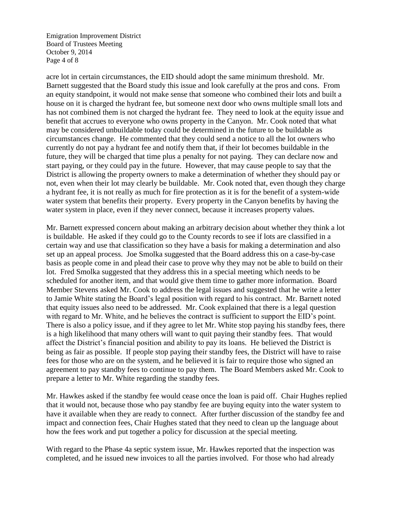Emigration Improvement District Board of Trustees Meeting October 9, 2014 Page 4 of 8

acre lot in certain circumstances, the EID should adopt the same minimum threshold. Mr. Barnett suggested that the Board study this issue and look carefully at the pros and cons. From an equity standpoint, it would not make sense that someone who combined their lots and built a house on it is charged the hydrant fee, but someone next door who owns multiple small lots and has not combined them is not charged the hydrant fee. They need to look at the equity issue and benefit that accrues to everyone who owns property in the Canyon. Mr. Cook noted that what may be considered unbuildable today could be determined in the future to be buildable as circumstances change. He commented that they could send a notice to all the lot owners who currently do not pay a hydrant fee and notify them that, if their lot becomes buildable in the future, they will be charged that time plus a penalty for not paying. They can declare now and start paying, or they could pay in the future. However, that may cause people to say that the District is allowing the property owners to make a determination of whether they should pay or not, even when their lot may clearly be buildable. Mr. Cook noted that, even though they charge a hydrant fee, it is not really as much for fire protection as it is for the benefit of a system-wide water system that benefits their property. Every property in the Canyon benefits by having the water system in place, even if they never connect, because it increases property values.

Mr. Barnett expressed concern about making an arbitrary decision about whether they think a lot is buildable. He asked if they could go to the County records to see if lots are classified in a certain way and use that classification so they have a basis for making a determination and also set up an appeal process. Joe Smolka suggested that the Board address this on a case-by-case basis as people come in and plead their case to prove why they may not be able to build on their lot. Fred Smolka suggested that they address this in a special meeting which needs to be scheduled for another item, and that would give them time to gather more information. Board Member Stevens asked Mr. Cook to address the legal issues and suggested that he write a letter to Jamie White stating the Board's legal position with regard to his contract. Mr. Barnett noted that equity issues also need to be addressed. Mr. Cook explained that there is a legal question with regard to Mr. White, and he believes the contract is sufficient to support the EID's point. There is also a policy issue, and if they agree to let Mr. White stop paying his standby fees, there is a high likelihood that many others will want to quit paying their standby fees. That would affect the District's financial position and ability to pay its loans. He believed the District is being as fair as possible. If people stop paying their standby fees, the District will have to raise fees for those who are on the system, and he believed it is fair to require those who signed an agreement to pay standby fees to continue to pay them. The Board Members asked Mr. Cook to prepare a letter to Mr. White regarding the standby fees.

Mr. Hawkes asked if the standby fee would cease once the loan is paid off. Chair Hughes replied that it would not, because those who pay standby fee are buying equity into the water system to have it available when they are ready to connect. After further discussion of the standby fee and impact and connection fees, Chair Hughes stated that they need to clean up the language about how the fees work and put together a policy for discussion at the special meeting.

With regard to the Phase 4a septic system issue, Mr. Hawkes reported that the inspection was completed, and he issued new invoices to all the parties involved. For those who had already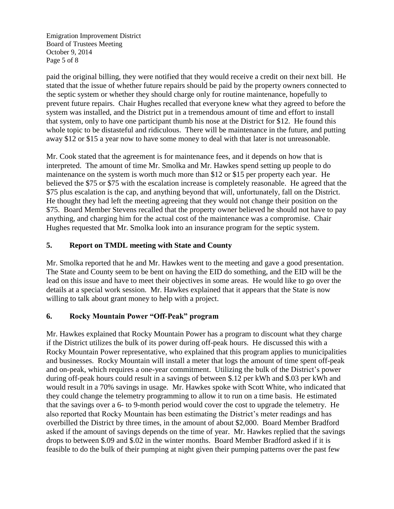Emigration Improvement District Board of Trustees Meeting October 9, 2014 Page 5 of 8

paid the original billing, they were notified that they would receive a credit on their next bill. He stated that the issue of whether future repairs should be paid by the property owners connected to the septic system or whether they should charge only for routine maintenance, hopefully to prevent future repairs. Chair Hughes recalled that everyone knew what they agreed to before the system was installed, and the District put in a tremendous amount of time and effort to install that system, only to have one participant thumb his nose at the District for \$12. He found this whole topic to be distasteful and ridiculous. There will be maintenance in the future, and putting away \$12 or \$15 a year now to have some money to deal with that later is not unreasonable.

Mr. Cook stated that the agreement is for maintenance fees, and it depends on how that is interpreted. The amount of time Mr. Smolka and Mr. Hawkes spend setting up people to do maintenance on the system is worth much more than \$12 or \$15 per property each year. He believed the \$75 or \$75 with the escalation increase is completely reasonable. He agreed that the \$75 plus escalation is the cap, and anything beyond that will, unfortunately, fall on the District. He thought they had left the meeting agreeing that they would not change their position on the \$75. Board Member Stevens recalled that the property owner believed he should not have to pay anything, and charging him for the actual cost of the maintenance was a compromise. Chair Hughes requested that Mr. Smolka look into an insurance program for the septic system.

# **5. Report on TMDL meeting with State and County**

Mr. Smolka reported that he and Mr. Hawkes went to the meeting and gave a good presentation. The State and County seem to be bent on having the EID do something, and the EID will be the lead on this issue and have to meet their objectives in some areas. He would like to go over the details at a special work session. Mr. Hawkes explained that it appears that the State is now willing to talk about grant money to help with a project.

# **6. Rocky Mountain Power "Off-Peak" program**

Mr. Hawkes explained that Rocky Mountain Power has a program to discount what they charge if the District utilizes the bulk of its power during off-peak hours. He discussed this with a Rocky Mountain Power representative, who explained that this program applies to municipalities and businesses. Rocky Mountain will install a meter that logs the amount of time spent off-peak and on-peak, which requires a one-year commitment. Utilizing the bulk of the District's power during off-peak hours could result in a savings of between \$.12 per kWh and \$.03 per kWh and would result in a 70% savings in usage. Mr. Hawkes spoke with Scott White, who indicated that they could change the telemetry programming to allow it to run on a time basis. He estimated that the savings over a 6- to 9-month period would cover the cost to upgrade the telemetry. He also reported that Rocky Mountain has been estimating the District's meter readings and has overbilled the District by three times, in the amount of about \$2,000. Board Member Bradford asked if the amount of savings depends on the time of year. Mr. Hawkes replied that the savings drops to between \$.09 and \$.02 in the winter months. Board Member Bradford asked if it is feasible to do the bulk of their pumping at night given their pumping patterns over the past few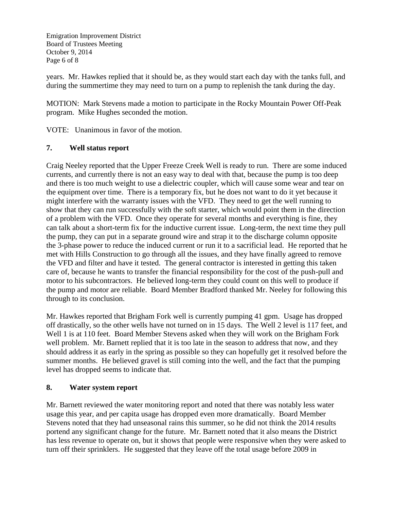Emigration Improvement District Board of Trustees Meeting October 9, 2014 Page 6 of 8

years. Mr. Hawkes replied that it should be, as they would start each day with the tanks full, and during the summertime they may need to turn on a pump to replenish the tank during the day.

MOTION: Mark Stevens made a motion to participate in the Rocky Mountain Power Off-Peak program. Mike Hughes seconded the motion.

VOTE: Unanimous in favor of the motion.

# **7. Well status report**

Craig Neeley reported that the Upper Freeze Creek Well is ready to run. There are some induced currents, and currently there is not an easy way to deal with that, because the pump is too deep and there is too much weight to use a dielectric coupler, which will cause some wear and tear on the equipment over time. There is a temporary fix, but he does not want to do it yet because it might interfere with the warranty issues with the VFD. They need to get the well running to show that they can run successfully with the soft starter, which would point them in the direction of a problem with the VFD. Once they operate for several months and everything is fine, they can talk about a short-term fix for the inductive current issue. Long-term, the next time they pull the pump, they can put in a separate ground wire and strap it to the discharge column opposite the 3-phase power to reduce the induced current or run it to a sacrificial lead. He reported that he met with Hills Construction to go through all the issues, and they have finally agreed to remove the VFD and filter and have it tested. The general contractor is interested in getting this taken care of, because he wants to transfer the financial responsibility for the cost of the push-pull and motor to his subcontractors. He believed long-term they could count on this well to produce if the pump and motor are reliable. Board Member Bradford thanked Mr. Neeley for following this through to its conclusion.

Mr. Hawkes reported that Brigham Fork well is currently pumping 41 gpm. Usage has dropped off drastically, so the other wells have not turned on in 15 days. The Well 2 level is 117 feet, and Well 1 is at 110 feet. Board Member Stevens asked when they will work on the Brigham Fork well problem. Mr. Barnett replied that it is too late in the season to address that now, and they should address it as early in the spring as possible so they can hopefully get it resolved before the summer months. He believed gravel is still coming into the well, and the fact that the pumping level has dropped seems to indicate that.

# **8. Water system report**

Mr. Barnett reviewed the water monitoring report and noted that there was notably less water usage this year, and per capita usage has dropped even more dramatically. Board Member Stevens noted that they had unseasonal rains this summer, so he did not think the 2014 results portend any significant change for the future. Mr. Barnett noted that it also means the District has less revenue to operate on, but it shows that people were responsive when they were asked to turn off their sprinklers. He suggested that they leave off the total usage before 2009 in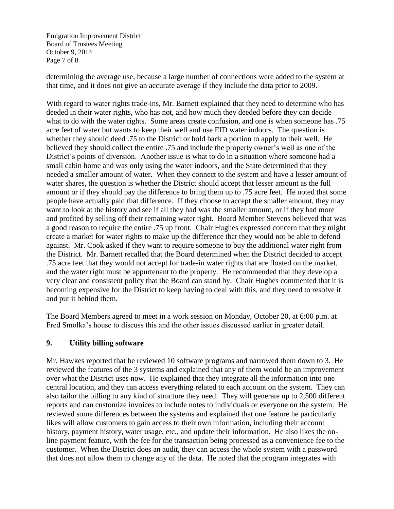Emigration Improvement District Board of Trustees Meeting October 9, 2014 Page 7 of 8

determining the average use, because a large number of connections were added to the system at that time, and it does not give an accurate average if they include the data prior to 2009.

With regard to water rights trade-ins, Mr. Barnett explained that they need to determine who has deeded in their water rights, who has not, and how much they deeded before they can decide what to do with the water rights. Some areas create confusion, and one is when someone has .75 acre feet of water but wants to keep their well and use EID water indoors. The question is whether they should deed .75 to the District or hold back a portion to apply to their well. He believed they should collect the entire .75 and include the property owner's well as one of the District's points of diversion. Another issue is what to do in a situation where someone had a small cabin home and was only using the water indoors, and the State determined that they needed a smaller amount of water. When they connect to the system and have a lesser amount of water shares, the question is whether the District should accept that lesser amount as the full amount or if they should pay the difference to bring them up to .75 acre feet. He noted that some people have actually paid that difference. If they choose to accept the smaller amount, they may want to look at the history and see if all they had was the smaller amount, or if they had more and profited by selling off their remaining water right. Board Member Stevens believed that was a good reason to require the entire .75 up front. Chair Hughes expressed concern that they might create a market for water rights to make up the difference that they would not be able to defend against. Mr. Cook asked if they want to require someone to buy the additional water right from the District. Mr. Barnett recalled that the Board determined when the District decided to accept .75 acre feet that they would not accept for trade-in water rights that are floated on the market, and the water right must be appurtenant to the property. He recommended that they develop a very clear and consistent policy that the Board can stand by. Chair Hughes commented that it is becoming expensive for the District to keep having to deal with this, and they need to resolve it and put it behind them.

The Board Members agreed to meet in a work session on Monday, October 20, at 6:00 p.m. at Fred Smolka's house to discuss this and the other issues discussed earlier in greater detail.

# **9. Utility billing software**

Mr. Hawkes reported that he reviewed 10 software programs and narrowed them down to 3. He reviewed the features of the 3 systems and explained that any of them would be an improvement over what the District uses now. He explained that they integrate all the information into one central location, and they can access everything related to each account on the system. They can also tailor the billing to any kind of structure they need. They will generate up to 2,500 different reports and can customize invoices to include notes to individuals or everyone on the system. He reviewed some differences between the systems and explained that one feature he particularly likes will allow customers to gain access to their own information, including their account history, payment history, water usage, etc., and update their information. He also likes the online payment feature, with the fee for the transaction being processed as a convenience fee to the customer. When the District does an audit, they can access the whole system with a password that does not allow them to change any of the data. He noted that the program integrates with